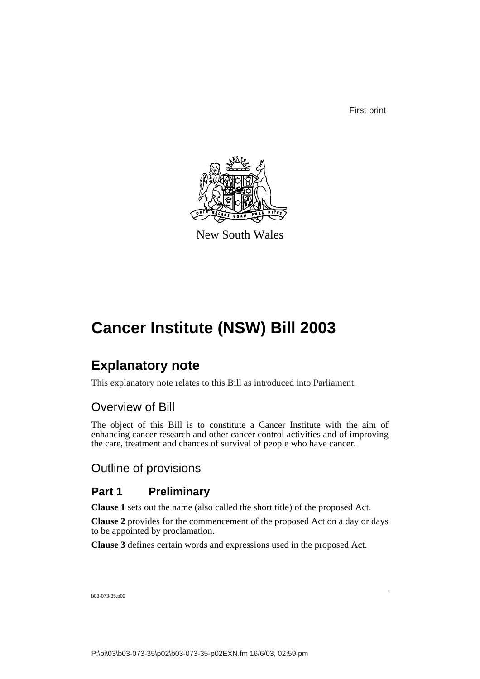First print



New South Wales

# **Cancer Institute (NSW) Bill 2003**

# **Explanatory note**

This explanatory note relates to this Bill as introduced into Parliament.

# Overview of Bill

The object of this Bill is to constitute a Cancer Institute with the aim of enhancing cancer research and other cancer control activities and of improving the care, treatment and chances of survival of people who have cancer.

# Outline of provisions

# **Part 1 Preliminary**

**Clause 1** sets out the name (also called the short title) of the proposed Act.

**Clause 2** provides for the commencement of the proposed Act on a day or days to be appointed by proclamation.

**Clause 3** defines certain words and expressions used in the proposed Act.

b03-073-35.p02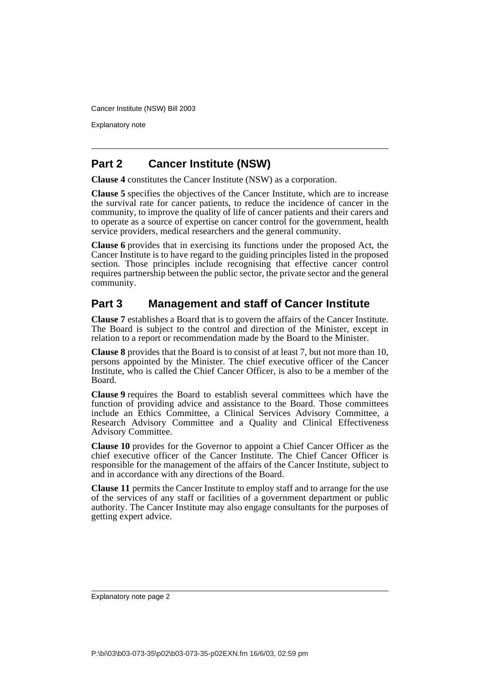Explanatory note

## **Part 2 Cancer Institute (NSW)**

**Clause 4** constitutes the Cancer Institute (NSW) as a corporation.

**Clause 5** specifies the objectives of the Cancer Institute, which are to increase the survival rate for cancer patients, to reduce the incidence of cancer in the community, to improve the quality of life of cancer patients and their carers and to operate as a source of expertise on cancer control for the government, health service providers, medical researchers and the general community.

**Clause 6** provides that in exercising its functions under the proposed Act, the Cancer Institute is to have regard to the guiding principles listed in the proposed section. Those principles include recognising that effective cancer control requires partnership between the public sector, the private sector and the general community.

## **Part 3 Management and staff of Cancer Institute**

**Clause 7** establishes a Board that is to govern the affairs of the Cancer Institute. The Board is subject to the control and direction of the Minister, except in relation to a report or recommendation made by the Board to the Minister.

**Clause 8** provides that the Board is to consist of at least 7, but not more than 10, persons appointed by the Minister. The chief executive officer of the Cancer Institute, who is called the Chief Cancer Officer, is also to be a member of the Board.

**Clause 9** requires the Board to establish several committees which have the function of providing advice and assistance to the Board. Those committees include an Ethics Committee, a Clinical Services Advisory Committee, a Research Advisory Committee and a Quality and Clinical Effectiveness Advisory Committee.

**Clause 10** provides for the Governor to appoint a Chief Cancer Officer as the chief executive officer of the Cancer Institute. The Chief Cancer Officer is responsible for the management of the affairs of the Cancer Institute, subject to and in accordance with any directions of the Board.

**Clause 11** permits the Cancer Institute to employ staff and to arrange for the use of the services of any staff or facilities of a government department or public authority. The Cancer Institute may also engage consultants for the purposes of getting expert advice.

Explanatory note page 2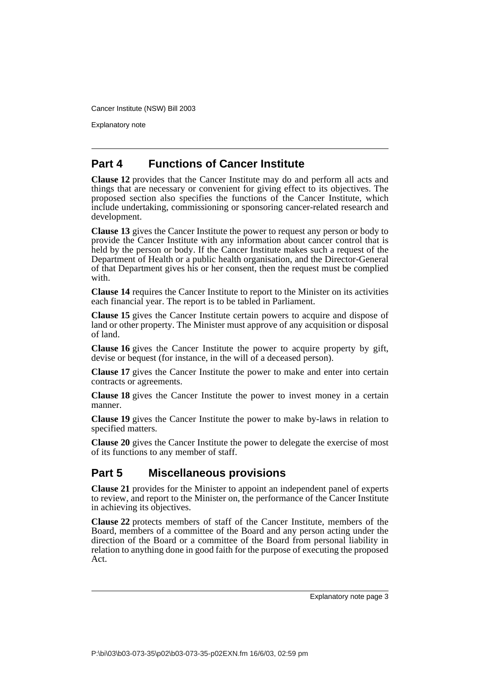Explanatory note

## **Part 4 Functions of Cancer Institute**

**Clause 12** provides that the Cancer Institute may do and perform all acts and things that are necessary or convenient for giving effect to its objectives. The proposed section also specifies the functions of the Cancer Institute, which include undertaking, commissioning or sponsoring cancer-related research and development.

**Clause 13** gives the Cancer Institute the power to request any person or body to provide the Cancer Institute with any information about cancer control that is held by the person or body. If the Cancer Institute makes such a request of the Department of Health or a public health organisation, and the Director-General of that Department gives his or her consent, then the request must be complied with.

**Clause 14** requires the Cancer Institute to report to the Minister on its activities each financial year. The report is to be tabled in Parliament.

**Clause 15** gives the Cancer Institute certain powers to acquire and dispose of land or other property. The Minister must approve of any acquisition or disposal of land.

**Clause 16** gives the Cancer Institute the power to acquire property by gift, devise or bequest (for instance, in the will of a deceased person).

**Clause 17** gives the Cancer Institute the power to make and enter into certain contracts or agreements.

**Clause 18** gives the Cancer Institute the power to invest money in a certain manner.

**Clause 19** gives the Cancer Institute the power to make by-laws in relation to specified matters.

**Clause 20** gives the Cancer Institute the power to delegate the exercise of most of its functions to any member of staff.

# **Part 5 Miscellaneous provisions**

**Clause 21** provides for the Minister to appoint an independent panel of experts to review, and report to the Minister on, the performance of the Cancer Institute in achieving its objectives.

**Clause 22** protects members of staff of the Cancer Institute, members of the Board, members of a committee of the Board and any person acting under the direction of the Board or a committee of the Board from personal liability in relation to anything done in good faith for the purpose of executing the proposed Act.

Explanatory note page 3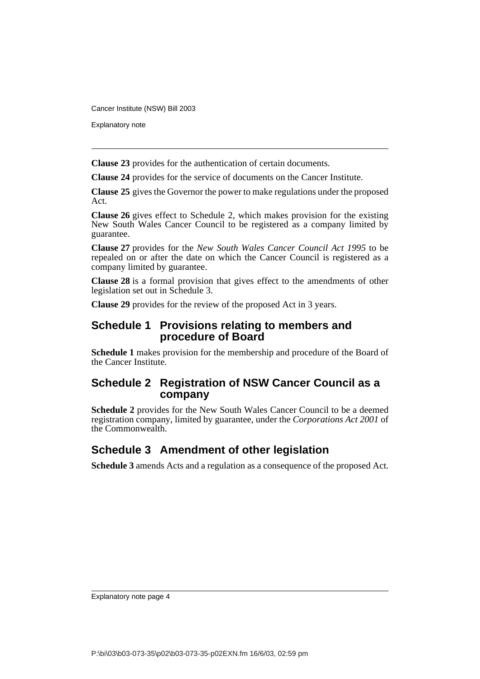Explanatory note

**Clause 23** provides for the authentication of certain documents.

**Clause 24** provides for the service of documents on the Cancer Institute.

**Clause 25** gives the Governor the power to make regulations under the proposed Act.

**Clause 26** gives effect to Schedule 2, which makes provision for the existing New South Wales Cancer Council to be registered as a company limited by guarantee.

**Clause 27** provides for the *New South Wales Cancer Council Act 1995* to be repealed on or after the date on which the Cancer Council is registered as a company limited by guarantee.

**Clause 28** is a formal provision that gives effect to the amendments of other legislation set out in Schedule 3.

**Clause 29** provides for the review of the proposed Act in 3 years.

## **Schedule 1 Provisions relating to members and procedure of Board**

**Schedule 1** makes provision for the membership and procedure of the Board of the Cancer Institute.

## **Schedule 2 Registration of NSW Cancer Council as a company**

**Schedule 2** provides for the New South Wales Cancer Council to be a deemed registration company, limited by guarantee, under the *Corporations Act 2001* of the Commonwealth.

# **Schedule 3 Amendment of other legislation**

**Schedule 3** amends Acts and a regulation as a consequence of the proposed Act.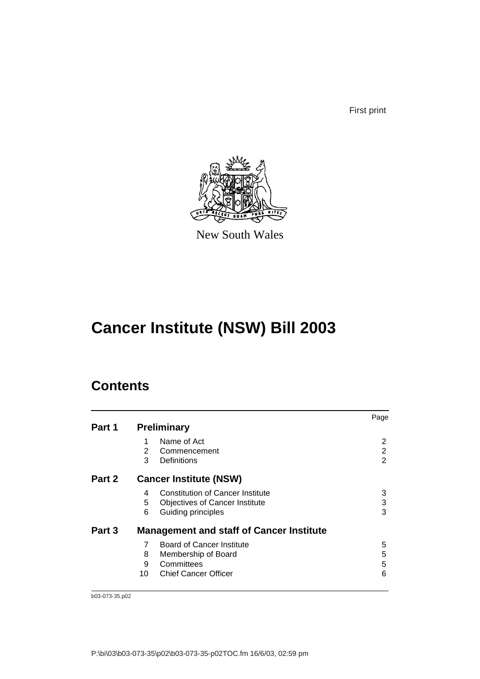First print



New South Wales

# **Cancer Institute (NSW) Bill 2003**

# **Contents**

|        |    |                                                 | Page |
|--------|----|-------------------------------------------------|------|
| Part 1 |    | <b>Preliminary</b>                              |      |
|        | 1  | Name of Act                                     | 2    |
|        | 2  | Commencement                                    | 2    |
|        | 3  | Definitions                                     | 2    |
| Part 2 |    | <b>Cancer Institute (NSW)</b>                   |      |
|        | 4  | <b>Constitution of Cancer Institute</b>         | 3    |
|        | 5  | <b>Objectives of Cancer Institute</b>           | 3    |
|        | 6  | Guiding principles                              | 3    |
| Part 3 |    | <b>Management and staff of Cancer Institute</b> |      |
|        | 7  | Board of Cancer Institute                       | 5    |
|        | 8  | Membership of Board                             | 5    |
|        | 9  | Committees                                      | 5    |
|        | 10 | <b>Chief Cancer Officer</b>                     | 6    |
|        |    |                                                 |      |

b03-073-35.p02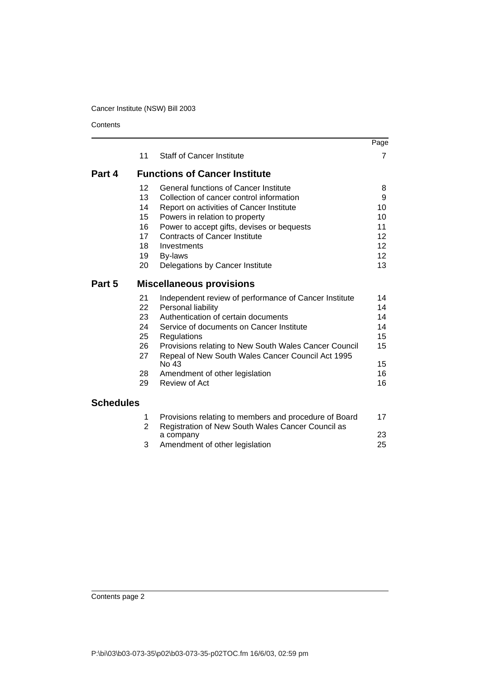**Contents** 

|                  |          |                                                                                                            | Page            |
|------------------|----------|------------------------------------------------------------------------------------------------------------|-----------------|
|                  | 11       | <b>Staff of Cancer Institute</b>                                                                           | $\overline{7}$  |
| Part 4           |          | <b>Functions of Cancer Institute</b>                                                                       |                 |
|                  | 12       | <b>General functions of Cancer Institute</b>                                                               | 8               |
|                  | 13       | Collection of cancer control information                                                                   | 9               |
|                  | 14       | Report on activities of Cancer Institute                                                                   | 10              |
|                  | 15       | Powers in relation to property                                                                             | 10              |
|                  | 16       | Power to accept gifts, devises or bequests                                                                 | 11              |
|                  | 17       | <b>Contracts of Cancer Institute</b>                                                                       | 12 <sup>2</sup> |
|                  | 18       | Investments                                                                                                | 12              |
|                  | 19       | By-laws                                                                                                    | 12 <sup>2</sup> |
|                  | 20       | Delegations by Cancer Institute                                                                            | 13              |
| Part 5           |          | <b>Miscellaneous provisions</b>                                                                            |                 |
|                  | 21       | Independent review of performance of Cancer Institute                                                      | 14              |
|                  | 22       | Personal liability                                                                                         | 14              |
|                  | 23       | Authentication of certain documents                                                                        | 14              |
|                  | 24       | Service of documents on Cancer Institute                                                                   | 14              |
|                  | 25       | Regulations                                                                                                | 15              |
|                  | 26<br>27 | Provisions relating to New South Wales Cancer Council<br>Repeal of New South Wales Cancer Council Act 1995 | 15              |
|                  |          | No 43                                                                                                      | 15              |
|                  | 28<br>29 | Amendment of other legislation<br>Review of Act                                                            | 16              |
|                  |          |                                                                                                            | 16              |
| <b>Schedules</b> |          |                                                                                                            |                 |
|                  | 1<br>2   | Provisions relating to members and procedure of Board<br>Registration of New South Wales Cancer Council as | 17              |
|                  |          | a company                                                                                                  | 23              |
|                  | 3        | Amendment of other legislation                                                                             | 25              |

Contents page 2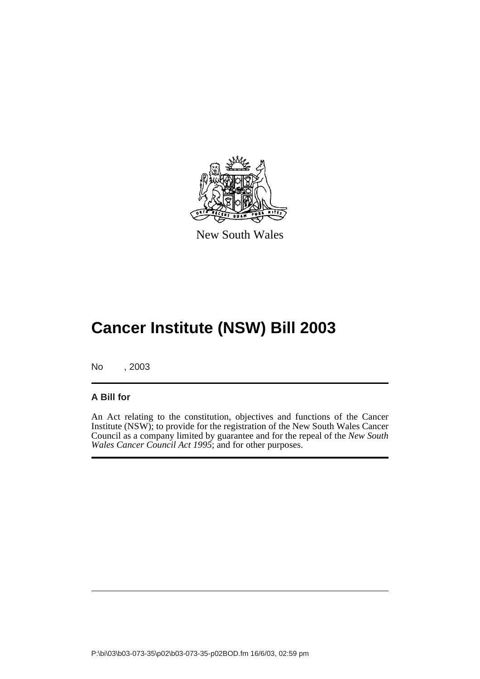

New South Wales

# **Cancer Institute (NSW) Bill 2003**

No , 2003

## **A Bill for**

An Act relating to the constitution, objectives and functions of the Cancer Institute (NSW); to provide for the registration of the New South Wales Cancer Council as a company limited by guarantee and for the repeal of the *New South Wales Cancer Council Act 1995*; and for other purposes.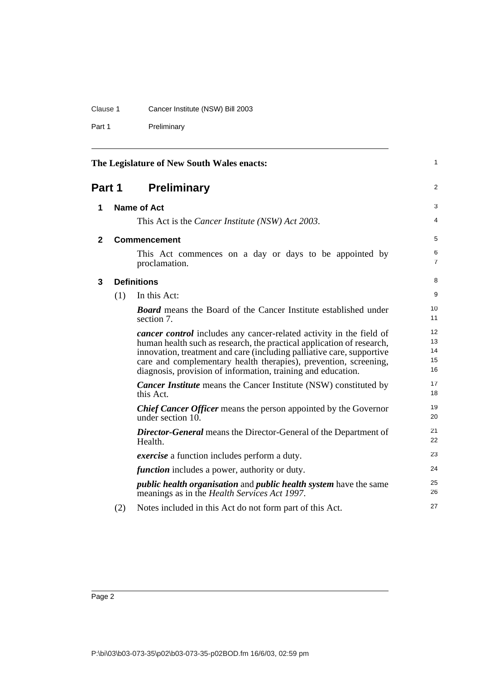## Clause 1 Cancer Institute (NSW) Bill 2003

Part 1 Preliminary

<span id="page-7-3"></span><span id="page-7-2"></span><span id="page-7-1"></span><span id="page-7-0"></span>

| The Legislature of New South Wales enacts: |     |                                                                                                                                                                                                                                                                                                                                                                  | 1                          |
|--------------------------------------------|-----|------------------------------------------------------------------------------------------------------------------------------------------------------------------------------------------------------------------------------------------------------------------------------------------------------------------------------------------------------------------|----------------------------|
| Part 1                                     |     | <b>Preliminary</b>                                                                                                                                                                                                                                                                                                                                               | $\overline{2}$             |
| 1                                          |     | <b>Name of Act</b>                                                                                                                                                                                                                                                                                                                                               | 3                          |
|                                            |     | This Act is the Cancer Institute (NSW) Act 2003.                                                                                                                                                                                                                                                                                                                 | 4                          |
| 2                                          |     | <b>Commencement</b>                                                                                                                                                                                                                                                                                                                                              | 5                          |
|                                            |     | This Act commences on a day or days to be appointed by<br>proclamation.                                                                                                                                                                                                                                                                                          | 6<br>7                     |
| 3                                          |     | <b>Definitions</b>                                                                                                                                                                                                                                                                                                                                               | 8                          |
|                                            | (1) | In this Act:                                                                                                                                                                                                                                                                                                                                                     | 9                          |
|                                            |     | <b>Board</b> means the Board of the Cancer Institute established under<br>section 7.                                                                                                                                                                                                                                                                             | 10<br>11                   |
|                                            |     | <i>cancer control</i> includes any cancer-related activity in the field of<br>human health such as research, the practical application of research,<br>innovation, treatment and care (including palliative care, supportive<br>care and complementary health therapies), prevention, screening,<br>diagnosis, provision of information, training and education. | 12<br>13<br>14<br>15<br>16 |
|                                            |     | <b>Cancer Institute</b> means the Cancer Institute (NSW) constituted by<br>this Act.                                                                                                                                                                                                                                                                             | 17<br>18                   |
|                                            |     | <b>Chief Cancer Officer</b> means the person appointed by the Governor<br>under section 10.                                                                                                                                                                                                                                                                      | 19<br>20                   |
|                                            |     | <b>Director-General</b> means the Director-General of the Department of<br>Health.                                                                                                                                                                                                                                                                               | 21<br>22                   |
|                                            |     | <i>exercise</i> a function includes perform a duty.                                                                                                                                                                                                                                                                                                              | 23                         |
|                                            |     | <i>function</i> includes a power, authority or duty.                                                                                                                                                                                                                                                                                                             | 24                         |
|                                            |     | <i>public health organisation</i> and <i>public health system</i> have the same<br>meanings as in the <i>Health Services Act 1997</i> .                                                                                                                                                                                                                          | 25<br>26                   |
|                                            | (2) | Notes included in this Act do not form part of this Act.                                                                                                                                                                                                                                                                                                         | 27                         |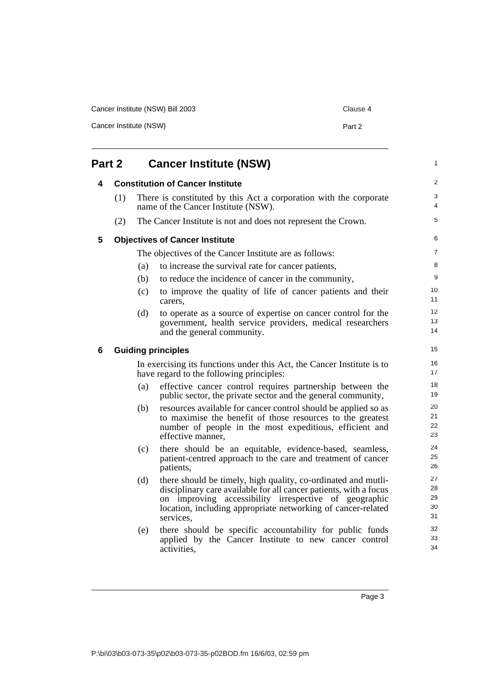| Cancer Institute (NSW) Bill 2003 | Clause 4 |
|----------------------------------|----------|
| Cancer Institute (NSW)           | Part 2   |

<span id="page-8-3"></span><span id="page-8-2"></span><span id="page-8-1"></span><span id="page-8-0"></span>

| <b>Cancer Institute (NSW)</b><br>Part 2 |     |     | $\mathbf{1}$                                                                                                                                                                                                                                                             |                            |
|-----------------------------------------|-----|-----|--------------------------------------------------------------------------------------------------------------------------------------------------------------------------------------------------------------------------------------------------------------------------|----------------------------|
| 4                                       |     |     | <b>Constitution of Cancer Institute</b>                                                                                                                                                                                                                                  | 2                          |
|                                         | (1) |     | There is constituted by this Act a corporation with the corporate<br>name of the Cancer Institute (NSW).                                                                                                                                                                 | 3<br>4                     |
|                                         | (2) |     | The Cancer Institute is not and does not represent the Crown.                                                                                                                                                                                                            | 5                          |
| 5                                       |     |     | <b>Objectives of Cancer Institute</b>                                                                                                                                                                                                                                    | 6                          |
|                                         |     |     | The objectives of the Cancer Institute are as follows:                                                                                                                                                                                                                   | $\overline{7}$             |
|                                         |     | (a) | to increase the survival rate for cancer patients,                                                                                                                                                                                                                       | 8                          |
|                                         |     | (b) | to reduce the incidence of cancer in the community,                                                                                                                                                                                                                      | 9                          |
|                                         |     | (c) | to improve the quality of life of cancer patients and their<br>carers.                                                                                                                                                                                                   | 10<br>11                   |
|                                         |     | (d) | to operate as a source of expertise on cancer control for the                                                                                                                                                                                                            | 12                         |
|                                         |     |     | government, health service providers, medical researchers<br>and the general community.                                                                                                                                                                                  | 13<br>14                   |
| 6                                       |     |     | <b>Guiding principles</b>                                                                                                                                                                                                                                                | 15                         |
|                                         |     |     | In exercising its functions under this Act, the Cancer Institute is to<br>have regard to the following principles:                                                                                                                                                       | 16<br>17                   |
|                                         |     | (a) | effective cancer control requires partnership between the<br>public sector, the private sector and the general community,                                                                                                                                                | 18<br>19                   |
|                                         |     | (b) | resources available for cancer control should be applied so as<br>to maximise the benefit of those resources to the greatest<br>number of people in the most expeditious, efficient and<br>effective manner,                                                             | 20<br>21<br>22<br>23       |
|                                         |     | (c) | there should be an equitable, evidence-based, seamless,<br>patient-centred approach to the care and treatment of cancer<br>patients,                                                                                                                                     | 24<br>25<br>26             |
|                                         |     | (d) | there should be timely, high quality, co-ordinated and mutli-<br>disciplinary care available for all cancer patients, with a focus<br>on improving accessibility irrespective of geographic<br>location, including appropriate networking of cancer-related<br>services, | 27<br>28<br>29<br>30<br>31 |
|                                         |     | (e) | there should be specific accountability for public funds<br>applied by the Cancer Institute to new cancer control<br>activities,                                                                                                                                         | 32<br>33<br>34             |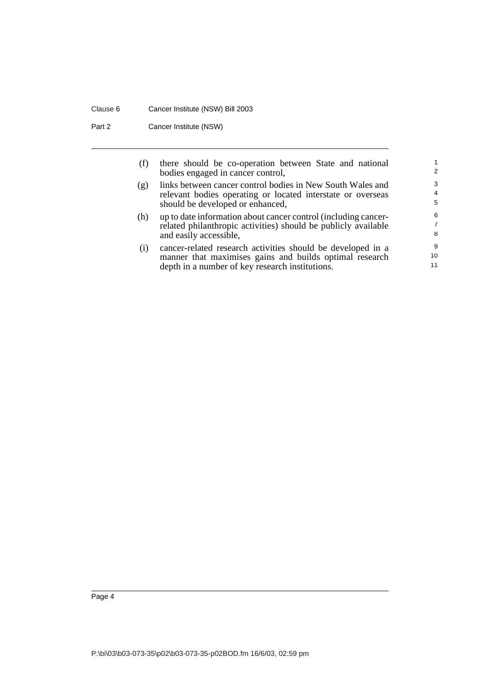### Clause 6 Cancer Institute (NSW) Bill 2003

Part 2 Cancer Institute (NSW)

| (f) | there should be co-operation between State and national<br>bodies engaged in cancer control,                                                                              | $\overline{2}$           |
|-----|---------------------------------------------------------------------------------------------------------------------------------------------------------------------------|--------------------------|
| (g) | links between cancer control bodies in New South Wales and<br>relevant bodies operating or located interstate or overseas<br>should be developed or enhanced,             | 3<br>$\overline{4}$<br>5 |
| (h) | up to date information about cancer control (including cancer-<br>related philanthropic activities) should be publicly available<br>and easily accessible,                | 6<br>7<br>8              |
| (i) | cancer-related research activities should be developed in a<br>manner that maximises gains and builds optimal research<br>depth in a number of key research institutions. | 9<br>10<br>11            |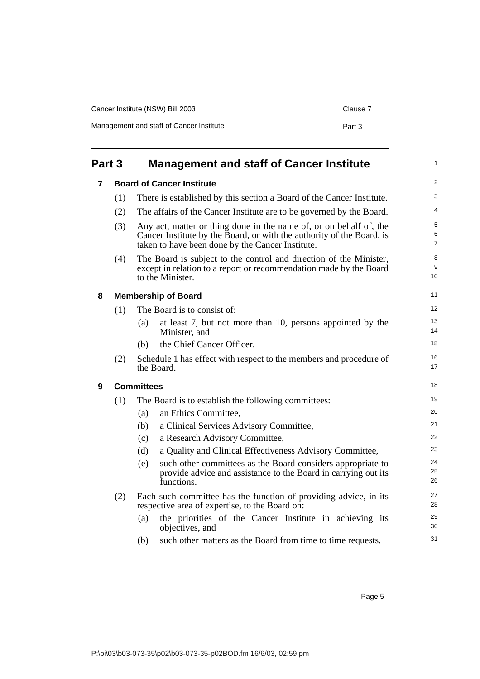| Cancer Institute (NSW) Bill 2003         | Clause 7 |
|------------------------------------------|----------|
| Management and staff of Cancer Institute | Part 3   |

<span id="page-10-3"></span><span id="page-10-2"></span><span id="page-10-1"></span><span id="page-10-0"></span>

| Part 3 |     | <b>Management and staff of Cancer Institute</b> |                                                                                                                                                                                                 | $\mathbf{1}$             |
|--------|-----|-------------------------------------------------|-------------------------------------------------------------------------------------------------------------------------------------------------------------------------------------------------|--------------------------|
| 7      |     |                                                 | <b>Board of Cancer Institute</b>                                                                                                                                                                | 2                        |
|        | (1) |                                                 | There is established by this section a Board of the Cancer Institute.                                                                                                                           | 3                        |
|        | (2) |                                                 | The affairs of the Cancer Institute are to be governed by the Board.                                                                                                                            | 4                        |
|        | (3) |                                                 | Any act, matter or thing done in the name of, or on behalf of, the<br>Cancer Institute by the Board, or with the authority of the Board, is<br>taken to have been done by the Cancer Institute. | 5<br>6<br>$\overline{7}$ |
|        | (4) |                                                 | The Board is subject to the control and direction of the Minister,<br>except in relation to a report or recommendation made by the Board<br>to the Minister.                                    | 8<br>9<br>10             |
| 8      |     |                                                 | <b>Membership of Board</b>                                                                                                                                                                      | 11                       |
|        | (1) |                                                 | The Board is to consist of:                                                                                                                                                                     | 12                       |
|        |     | (a)                                             | at least 7, but not more than 10, persons appointed by the<br>Minister, and                                                                                                                     | 13<br>14                 |
|        |     | (b)                                             | the Chief Cancer Officer.                                                                                                                                                                       | 15                       |
|        | (2) |                                                 | Schedule 1 has effect with respect to the members and procedure of<br>the Board.                                                                                                                | 16<br>17                 |
| 9      |     | <b>Committees</b>                               |                                                                                                                                                                                                 | 18                       |
|        | (1) |                                                 | The Board is to establish the following committees:                                                                                                                                             | 19                       |
|        |     | (a)                                             | an Ethics Committee,                                                                                                                                                                            | 20                       |
|        |     | (b)                                             | a Clinical Services Advisory Committee,                                                                                                                                                         | 21                       |
|        |     | (c)                                             | a Research Advisory Committee,                                                                                                                                                                  | 22                       |
|        |     | (d)                                             | a Quality and Clinical Effectiveness Advisory Committee,                                                                                                                                        | 23                       |
|        |     | (e)                                             | such other committees as the Board considers appropriate to<br>provide advice and assistance to the Board in carrying out its<br>functions.                                                     | 24<br>25<br>26           |
|        | (2) |                                                 | Each such committee has the function of providing advice, in its<br>respective area of expertise, to the Board on:                                                                              | 27<br>28                 |
|        |     | (a)                                             | the priorities of the Cancer Institute in achieving its<br>objectives, and                                                                                                                      | 29<br>30                 |
|        |     | (b)                                             | such other matters as the Board from time to time requests.                                                                                                                                     | 31                       |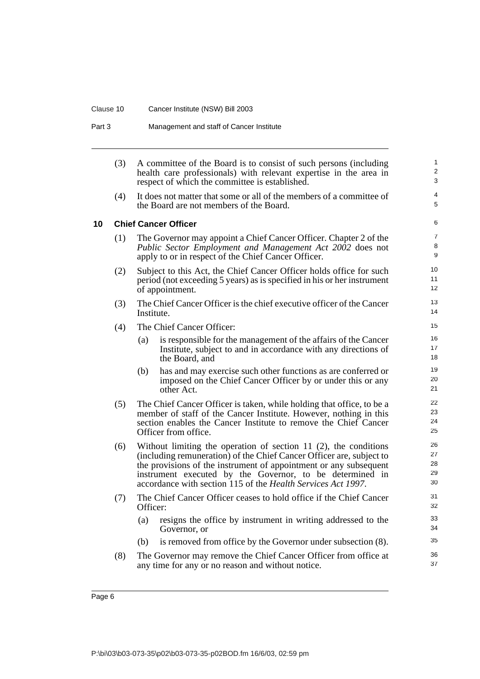### Clause 10 Cancer Institute (NSW) Bill 2003

Part 3 Management and staff of Cancer Institute

<span id="page-11-0"></span>

|    | (3) | A committee of the Board is to consist of such persons (including<br>health care professionals) with relevant expertise in the area in<br>respect of which the committee is established.                                                                                                                                                     | $\mathbf{1}$<br>$\overline{2}$<br>3 |
|----|-----|----------------------------------------------------------------------------------------------------------------------------------------------------------------------------------------------------------------------------------------------------------------------------------------------------------------------------------------------|-------------------------------------|
|    | (4) | It does not matter that some or all of the members of a committee of<br>the Board are not members of the Board.                                                                                                                                                                                                                              | 4<br>5                              |
| 10 |     | <b>Chief Cancer Officer</b>                                                                                                                                                                                                                                                                                                                  | 6                                   |
|    | (1) | The Governor may appoint a Chief Cancer Officer. Chapter 2 of the<br>Public Sector Employment and Management Act 2002 does not<br>apply to or in respect of the Chief Cancer Officer.                                                                                                                                                        | $\overline{7}$<br>8<br>9            |
|    | (2) | Subject to this Act, the Chief Cancer Officer holds office for such<br>period (not exceeding 5 years) as is specified in his or her instrument<br>of appointment.                                                                                                                                                                            | 10<br>11<br>12 <sup>2</sup>         |
|    | (3) | The Chief Cancer Officer is the chief executive officer of the Cancer<br>Institute.                                                                                                                                                                                                                                                          | 13<br>14                            |
|    | (4) | The Chief Cancer Officer:                                                                                                                                                                                                                                                                                                                    | 15                                  |
|    |     | is responsible for the management of the affairs of the Cancer<br>(a)<br>Institute, subject to and in accordance with any directions of<br>the Board, and                                                                                                                                                                                    | 16<br>17<br>18                      |
|    |     | has and may exercise such other functions as are conferred or<br>(b)<br>imposed on the Chief Cancer Officer by or under this or any<br>other Act.                                                                                                                                                                                            | 19<br>20<br>21                      |
|    | (5) | The Chief Cancer Officer is taken, while holding that office, to be a<br>member of staff of the Cancer Institute. However, nothing in this<br>section enables the Cancer Institute to remove the Chief Cancer<br>Officer from office.                                                                                                        | 22<br>23<br>24<br>25                |
|    | (6) | Without limiting the operation of section 11 $(2)$ , the conditions<br>(including remuneration) of the Chief Cancer Officer are, subject to<br>the provisions of the instrument of appointment or any subsequent<br>instrument executed by the Governor, to be determined in<br>accordance with section 115 of the Health Services Act 1997. | 26<br>27<br>28<br>29<br>30          |
|    | (7) | The Chief Cancer Officer ceases to hold office if the Chief Cancer<br>Officer:                                                                                                                                                                                                                                                               | 31<br>32                            |
|    |     | resigns the office by instrument in writing addressed to the<br>(a)<br>Governor, or                                                                                                                                                                                                                                                          | 33<br>34                            |
|    |     | is removed from office by the Governor under subsection (8).<br>(b)                                                                                                                                                                                                                                                                          | 35                                  |
|    | (8) | The Governor may remove the Chief Cancer Officer from office at<br>any time for any or no reason and without notice.                                                                                                                                                                                                                         | 36<br>37                            |
|    |     |                                                                                                                                                                                                                                                                                                                                              |                                     |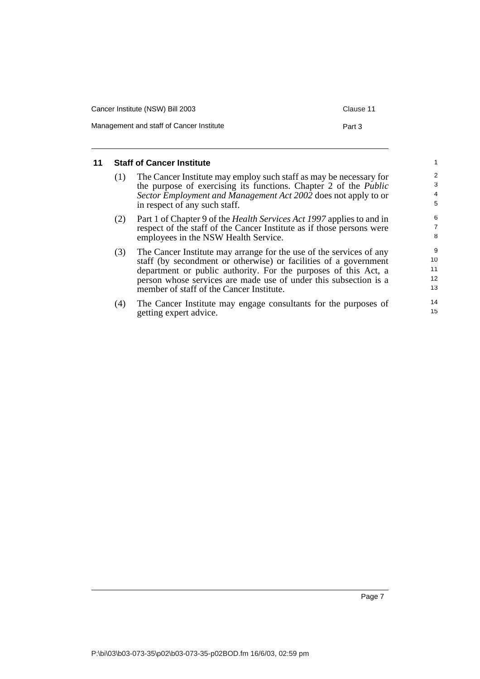| Cancer Institute (NSW) Bill 2003         | Clause 11 |
|------------------------------------------|-----------|
| Management and staff of Cancer Institute | Part 3    |

### <span id="page-12-0"></span>**11 Staff of Cancer Institute**

- (1) The Cancer Institute may employ such staff as may be necessary for the purpose of exercising its functions. Chapter 2 of the *Public Sector Employment and Management Act 2002* does not apply to or in respect of any such staff.
- (2) Part 1 of Chapter 9 of the *Health Services Act 1997* applies to and in respect of the staff of the Cancer Institute as if those persons were employees in the NSW Health Service.
- (3) The Cancer Institute may arrange for the use of the services of any staff (by secondment or otherwise) or facilities of a government department or public authority. For the purposes of this Act, a person whose services are made use of under this subsection is a member of staff of the Cancer Institute.
- (4) The Cancer Institute may engage consultants for the purposes of getting expert advice.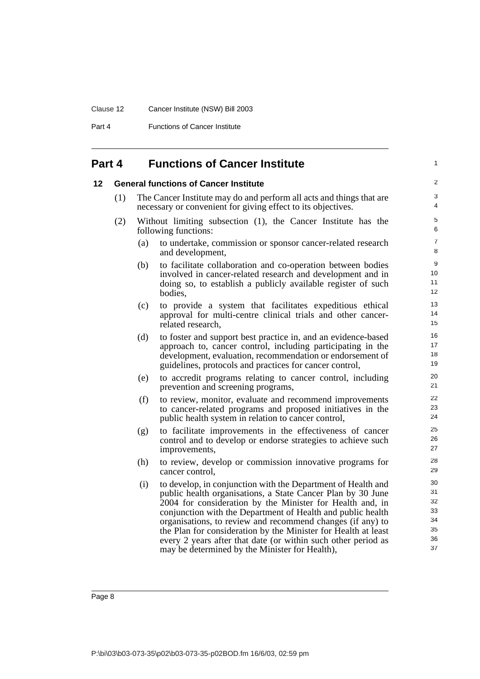#### Clause 12 Cancer Institute (NSW) Bill 2003

Part 4 **Functions of Cancer Institute** 

### <span id="page-13-0"></span>**Part 4 Functions of Cancer Institute**

#### <span id="page-13-1"></span>**12 General functions of Cancer Institute**

- (1) The Cancer Institute may do and perform all acts and things that are necessary or convenient for giving effect to its objectives.
- (2) Without limiting subsection (1), the Cancer Institute has the following functions:
	- (a) to undertake, commission or sponsor cancer-related research and development,

1

- (b) to facilitate collaboration and co-operation between bodies involved in cancer-related research and development and in doing so, to establish a publicly available register of such bodies,
- (c) to provide a system that facilitates expeditious ethical approval for multi-centre clinical trials and other cancerrelated research,
- (d) to foster and support best practice in, and an evidence-based approach to, cancer control, including participating in the development, evaluation, recommendation or endorsement of guidelines, protocols and practices for cancer control,
- (e) to accredit programs relating to cancer control, including prevention and screening programs,
- (f) to review, monitor, evaluate and recommend improvements to cancer-related programs and proposed initiatives in the public health system in relation to cancer control,
- (g) to facilitate improvements in the effectiveness of cancer control and to develop or endorse strategies to achieve such improvements,
- (h) to review, develop or commission innovative programs for cancer control,
- (i) to develop, in conjunction with the Department of Health and public health organisations, a State Cancer Plan by 30 June 2004 for consideration by the Minister for Health and, in conjunction with the Department of Health and public health organisations, to review and recommend changes (if any) to the Plan for consideration by the Minister for Health at least every 2 years after that date (or within such other period as may be determined by the Minister for Health),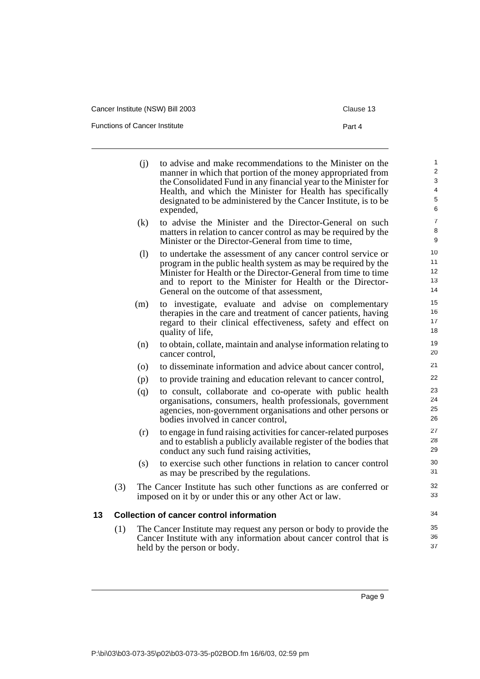Functions of Cancer Institute

|--|--|--|--|--|

<span id="page-14-0"></span>

|    |     | (i) | to advise and make recommendations to the Minister on the<br>manner in which that portion of the money appropriated from<br>the Consolidated Fund in any financial year to the Minister for<br>Health, and which the Minister for Health has specifically<br>designated to be administered by the Cancer Institute, is to be<br>expended, | $\mathbf{1}$<br>$\overline{2}$<br>$\ensuremath{\mathsf{3}}$<br>4<br>5<br>6 |
|----|-----|-----|-------------------------------------------------------------------------------------------------------------------------------------------------------------------------------------------------------------------------------------------------------------------------------------------------------------------------------------------|----------------------------------------------------------------------------|
|    |     | (k) | to advise the Minister and the Director-General on such<br>matters in relation to cancer control as may be required by the<br>Minister or the Director-General from time to time,                                                                                                                                                         | $\overline{7}$<br>8<br>9                                                   |
|    |     | (1) | to undertake the assessment of any cancer control service or<br>program in the public health system as may be required by the<br>Minister for Health or the Director-General from time to time<br>and to report to the Minister for Health or the Director-<br>General on the outcome of that assessment,                                 | 10<br>11<br>12 <sup>2</sup><br>13<br>14                                    |
|    |     | (m) | to investigate, evaluate and advise on complementary<br>therapies in the care and treatment of cancer patients, having<br>regard to their clinical effectiveness, safety and effect on<br>quality of life,                                                                                                                                | 15<br>16<br>17<br>18                                                       |
|    |     | (n) | to obtain, collate, maintain and analyse information relating to<br>cancer control.                                                                                                                                                                                                                                                       | 19<br>20                                                                   |
|    |     | (0) | to disseminate information and advice about cancer control,                                                                                                                                                                                                                                                                               | 21                                                                         |
|    |     | (p) | to provide training and education relevant to cancer control,                                                                                                                                                                                                                                                                             | 22                                                                         |
|    |     | (q) | to consult, collaborate and co-operate with public health<br>organisations, consumers, health professionals, government<br>agencies, non-government organisations and other persons or<br>bodies involved in cancer control,                                                                                                              | 23<br>24<br>25<br>26                                                       |
|    |     | (r) | to engage in fund raising activities for cancer-related purposes<br>and to establish a publicly available register of the bodies that<br>conduct any such fund raising activities,                                                                                                                                                        | 27<br>28<br>29                                                             |
|    |     | (s) | to exercise such other functions in relation to cancer control<br>as may be prescribed by the regulations.                                                                                                                                                                                                                                | 30<br>31                                                                   |
|    | (3) |     | The Cancer Institute has such other functions as are conferred or<br>imposed on it by or under this or any other Act or law.                                                                                                                                                                                                              | 32<br>33                                                                   |
| 13 |     |     | <b>Collection of cancer control information</b>                                                                                                                                                                                                                                                                                           | 34                                                                         |
|    | (1) |     | The Cancer Institute may request any person or body to provide the<br>Cancer Institute with any information about cancer control that is<br>held by the person or body.                                                                                                                                                                   | 35<br>36<br>37                                                             |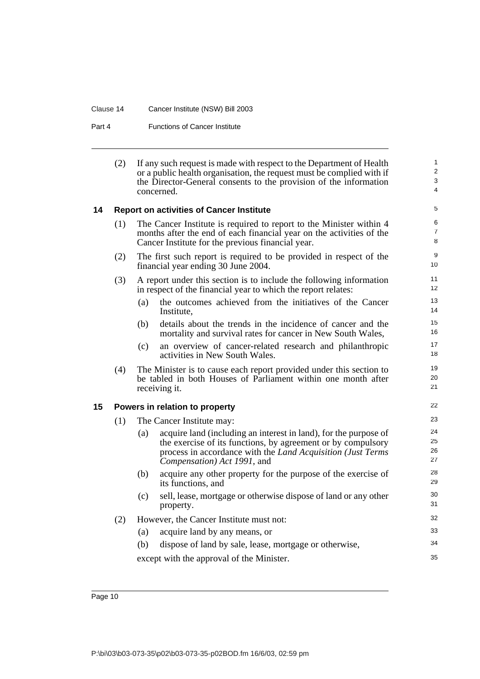#### Clause 14 Cancer Institute (NSW) Bill 2003

Part 4 **Functions of Cancer Institute** 

| (2) | If any such request is made with respect to the Department of Health  |
|-----|-----------------------------------------------------------------------|
|     | or a public health organisation, the request must be complied with if |
|     | the Director-General consents to the provision of the information     |
|     | concerned.                                                            |

22

35

#### <span id="page-15-0"></span>**14 Report on activities of Cancer Institute**

| (1) | The Cancer Institute is required to report to the Minister within 4  |
|-----|----------------------------------------------------------------------|
|     | months after the end of each financial year on the activities of the |
|     | Cancer Institute for the previous financial year.                    |

- (2) The first such report is required to be provided in respect of the financial year ending 30 June 2004.
- (3) A report under this section is to include the following information in respect of the financial year to which the report relates:
	- (a) the outcomes achieved from the initiatives of the Cancer Institute,
	- (b) details about the trends in the incidence of cancer and the mortality and survival rates for cancer in New South Wales,
	- (c) an overview of cancer-related research and philanthropic activities in New South Wales.
- (4) The Minister is to cause each report provided under this section to be tabled in both Houses of Parliament within one month after receiving it.

### <span id="page-15-1"></span>**15 Powers in relation to property**

(1) The Cancer Institute may: (a) acquire land (including an interest in land), for the purpose of the exercise of its functions, by agreement or by compulsory process in accordance with the *Land Acquisition (Just Terms Compensation) Act 1991*, and (b) acquire any other property for the purpose of the exercise of its functions, and (c) sell, lease, mortgage or otherwise dispose of land or any other property. (2) However, the Cancer Institute must not: (a) acquire land by any means, or 23 24 25 26 27 28 29 30 31 32 33 34

(b) dispose of land by sale, lease, mortgage or otherwise,

except with the approval of the Minister.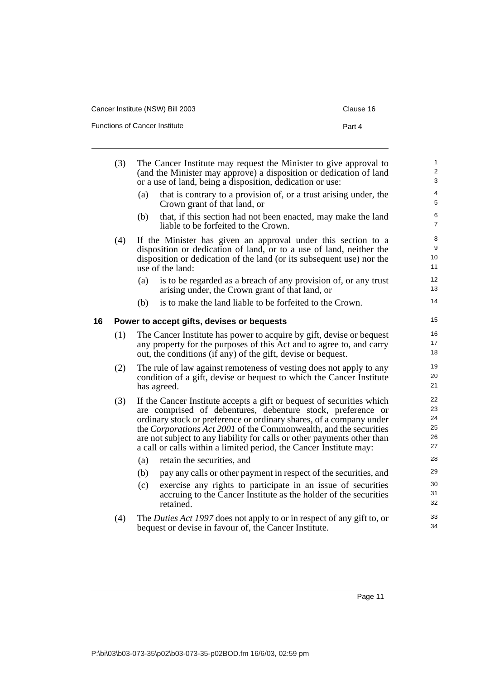|  | Cancer Institute (NSW) Bill 2003 |  |
|--|----------------------------------|--|
|--|----------------------------------|--|

Functions of Cancer Institute Part 4

<span id="page-16-0"></span>

|    | (3) |     | The Cancer Institute may request the Minister to give approval to<br>(and the Minister may approve) a disposition or dedication of land<br>or a use of land, being a disposition, dedication or use:                                                                                                                                                                                                                              | $\mathbf{1}$<br>$\overline{2}$<br>3 |
|----|-----|-----|-----------------------------------------------------------------------------------------------------------------------------------------------------------------------------------------------------------------------------------------------------------------------------------------------------------------------------------------------------------------------------------------------------------------------------------|-------------------------------------|
|    |     | (a) | that is contrary to a provision of, or a trust arising under, the<br>Crown grant of that land, or                                                                                                                                                                                                                                                                                                                                 | 4<br>5                              |
|    |     | (b) | that, if this section had not been enacted, may make the land<br>liable to be forfeited to the Crown.                                                                                                                                                                                                                                                                                                                             | 6<br>$\overline{7}$                 |
|    | (4) |     | If the Minister has given an approval under this section to a<br>disposition or dedication of land, or to a use of land, neither the<br>disposition or dedication of the land (or its subsequent use) nor the<br>use of the land:                                                                                                                                                                                                 | 8<br>9<br>10<br>11                  |
|    |     | (a) | is to be regarded as a breach of any provision of, or any trust<br>arising under, the Crown grant of that land, or                                                                                                                                                                                                                                                                                                                | 12<br>13                            |
|    |     | (b) | is to make the land liable to be forfeited to the Crown.                                                                                                                                                                                                                                                                                                                                                                          | 14                                  |
| 16 |     |     | Power to accept gifts, devises or bequests                                                                                                                                                                                                                                                                                                                                                                                        | 15                                  |
|    | (1) |     | The Cancer Institute has power to acquire by gift, devise or bequest<br>any property for the purposes of this Act and to agree to, and carry<br>out, the conditions (if any) of the gift, devise or bequest.                                                                                                                                                                                                                      | 16<br>17<br>18                      |
|    | (2) |     | The rule of law against remoteness of vesting does not apply to any<br>condition of a gift, devise or bequest to which the Cancer Institute<br>has agreed.                                                                                                                                                                                                                                                                        | 19<br>20<br>21                      |
|    | (3) |     | If the Cancer Institute accepts a gift or bequest of securities which<br>are comprised of debentures, debenture stock, preference or<br>ordinary stock or preference or ordinary shares, of a company under<br>the Corporations Act 2001 of the Commonwealth, and the securities<br>are not subject to any liability for calls or other payments other than<br>a call or calls within a limited period, the Cancer Institute may: | 22<br>23<br>24<br>25<br>26<br>27    |
|    |     | (a) | retain the securities, and                                                                                                                                                                                                                                                                                                                                                                                                        | 28                                  |
|    |     | (b) | pay any calls or other payment in respect of the securities, and                                                                                                                                                                                                                                                                                                                                                                  | 29                                  |
|    |     | (c) | exercise any rights to participate in an issue of securities<br>accruing to the Cancer Institute as the holder of the securities<br>retained.                                                                                                                                                                                                                                                                                     | 30<br>31<br>32                      |
|    | (4) |     | The Duties Act 1997 does not apply to or in respect of any gift to, or<br>bequest or devise in favour of, the Cancer Institute.                                                                                                                                                                                                                                                                                                   | 33<br>34                            |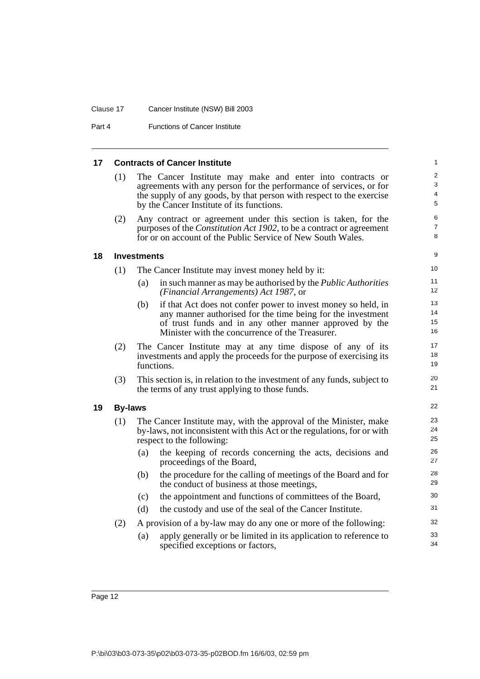#### Clause 17 Cancer Institute (NSW) Bill 2003

Part 4 **Functions of Cancer Institute** 

#### <span id="page-17-2"></span><span id="page-17-1"></span><span id="page-17-0"></span>**17 Contracts of Cancer Institute** (1) The Cancer Institute may make and enter into contracts or agreements with any person for the performance of services, or for the supply of any goods, by that person with respect to the exercise by the Cancer Institute of its functions. (2) Any contract or agreement under this section is taken, for the purposes of the *Constitution Act 1902*, to be a contract or agreement for or on account of the Public Service of New South Wales. **18 Investments** (1) The Cancer Institute may invest money held by it: (a) in such manner as may be authorised by the *Public Authorities (Financial Arrangements) Act 1987*, or (b) if that Act does not confer power to invest money so held, in any manner authorised for the time being for the investment of trust funds and in any other manner approved by the Minister with the concurrence of the Treasurer. (2) The Cancer Institute may at any time dispose of any of its investments and apply the proceeds for the purpose of exercising its functions. (3) This section is, in relation to the investment of any funds, subject to the terms of any trust applying to those funds. **19 By-laws** (1) The Cancer Institute may, with the approval of the Minister, make by-laws, not inconsistent with this Act or the regulations, for or with respect to the following: (a) the keeping of records concerning the acts, decisions and proceedings of the Board, (b) the procedure for the calling of meetings of the Board and for the conduct of business at those meetings, (c) the appointment and functions of committees of the Board, (d) the custody and use of the seal of the Cancer Institute. (2) A provision of a by-law may do any one or more of the following: (a) apply generally or be limited in its application to reference to specified exceptions or factors, 1  $\overline{2}$ 3 4 5 6 7 8 9  $1<sub>0</sub>$ 11 12 13 14 15 16 17 18 19 20 21 22 23 24 25 26 27 28 29 30 31 32 33 34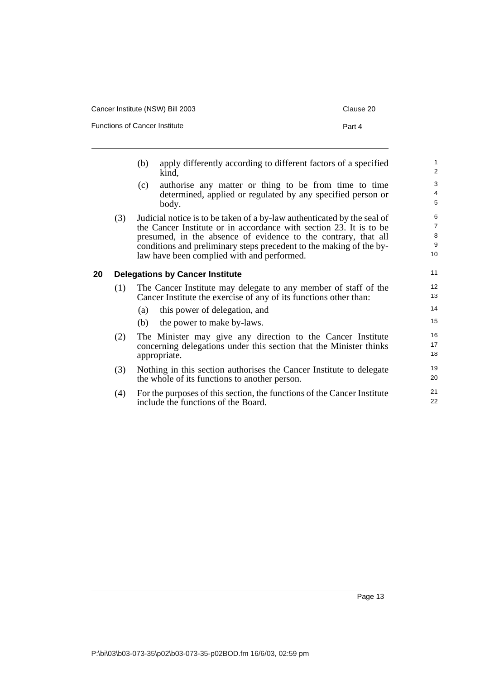| Cancer Institute (NSW) Bill 2003     | Clause 20 |
|--------------------------------------|-----------|
| <b>Functions of Cancer Institute</b> | Part 4    |

- (b) apply differently according to different factors of a specified kind,
- (c) authorise any matter or thing to be from time to time determined, applied or regulated by any specified person or body.
- (3) Judicial notice is to be taken of a by-law authenticated by the seal of the Cancer Institute or in accordance with section 23. It is to be presumed, in the absence of evidence to the contrary, that all conditions and preliminary steps precedent to the making of the bylaw have been complied with and performed.

#### <span id="page-18-0"></span>**20 Delegations by Cancer Institute**

- (1) The Cancer Institute may delegate to any member of staff of the Cancer Institute the exercise of any of its functions other than:
	- (a) this power of delegation, and
	- (b) the power to make by-laws.
- (2) The Minister may give any direction to the Cancer Institute concerning delegations under this section that the Minister thinks appropriate.
- (3) Nothing in this section authorises the Cancer Institute to delegate the whole of its functions to another person.
- (4) For the purposes of this section, the functions of the Cancer Institute include the functions of the Board.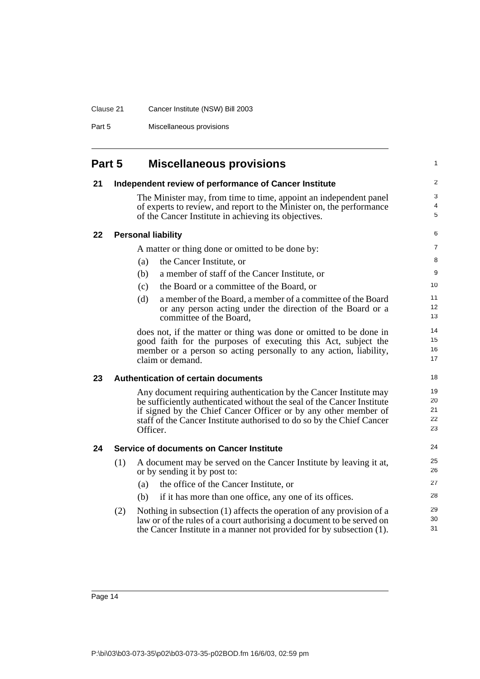### Clause 21 Cancer Institute (NSW) Bill 2003

Part 5 Miscellaneous provisions

<span id="page-19-4"></span><span id="page-19-3"></span><span id="page-19-2"></span><span id="page-19-1"></span><span id="page-19-0"></span>

| Part 5 |     | <b>Miscellaneous provisions</b>                                                                                                                                                                                                                                                                     | $\mathbf{1}$               |
|--------|-----|-----------------------------------------------------------------------------------------------------------------------------------------------------------------------------------------------------------------------------------------------------------------------------------------------------|----------------------------|
| 21     |     | Independent review of performance of Cancer Institute                                                                                                                                                                                                                                               | 2                          |
|        |     | The Minister may, from time to time, appoint an independent panel<br>of experts to review, and report to the Minister on, the performance<br>of the Cancer Institute in achieving its objectives.                                                                                                   | 3<br>4<br>5                |
| 22     |     | <b>Personal liability</b>                                                                                                                                                                                                                                                                           | 6                          |
|        |     | A matter or thing done or omitted to be done by:                                                                                                                                                                                                                                                    | 7                          |
|        |     | the Cancer Institute, or<br>(a)                                                                                                                                                                                                                                                                     | 8                          |
|        |     | (b)<br>a member of staff of the Cancer Institute, or                                                                                                                                                                                                                                                | 9                          |
|        |     | the Board or a committee of the Board, or<br>(c)                                                                                                                                                                                                                                                    | 10                         |
|        |     | (d)<br>a member of the Board, a member of a committee of the Board<br>or any person acting under the direction of the Board or a<br>committee of the Board,                                                                                                                                         | 11<br>12<br>13             |
|        |     | does not, if the matter or thing was done or omitted to be done in<br>good faith for the purposes of executing this Act, subject the<br>member or a person so acting personally to any action, liability,<br>claim or demand.                                                                       | 14<br>15<br>16<br>17       |
| 23     |     | <b>Authentication of certain documents</b>                                                                                                                                                                                                                                                          | 18                         |
|        |     | Any document requiring authentication by the Cancer Institute may<br>be sufficiently authenticated without the seal of the Cancer Institute<br>if signed by the Chief Cancer Officer or by any other member of<br>staff of the Cancer Institute authorised to do so by the Chief Cancer<br>Officer. | 19<br>20<br>21<br>22<br>23 |
| 24     |     | <b>Service of documents on Cancer Institute</b>                                                                                                                                                                                                                                                     | 24                         |
|        | (1) | A document may be served on the Cancer Institute by leaving it at,<br>or by sending it by post to:                                                                                                                                                                                                  | 25<br>26                   |
|        |     | the office of the Cancer Institute, or<br>(a)                                                                                                                                                                                                                                                       | 27                         |
|        |     | if it has more than one office, any one of its offices.<br>(b)                                                                                                                                                                                                                                      | 28                         |
|        | (2) | Nothing in subsection (1) affects the operation of any provision of a<br>law or of the rules of a court authorising a document to be served on<br>the Cancer Institute in a manner not provided for by subsection (1).                                                                              | 29<br>30<br>31             |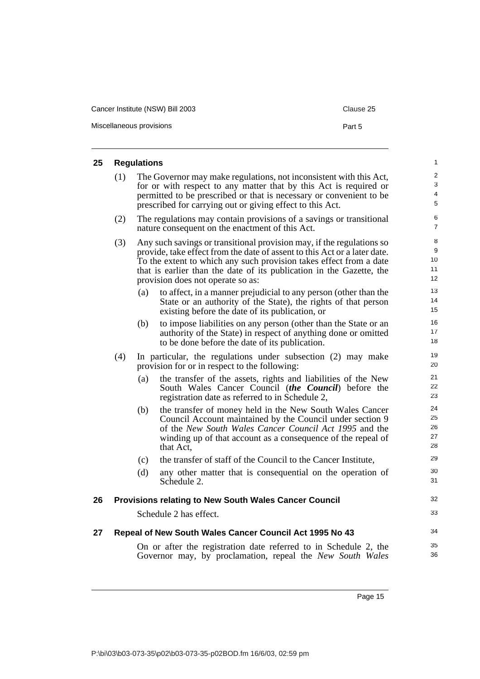| Cancer Institute (NSW) Bill 2003 | Clause 25 |
|----------------------------------|-----------|
| Miscellaneous provisions         | Part 5    |

# <span id="page-20-0"></span>**25 Regulations**

<span id="page-20-2"></span><span id="page-20-1"></span>

| 25 |     | <b>Regulations</b> |                                                                                                                                                                                                                                                                                                                                       | $\mathbf{1}$               |
|----|-----|--------------------|---------------------------------------------------------------------------------------------------------------------------------------------------------------------------------------------------------------------------------------------------------------------------------------------------------------------------------------|----------------------------|
|    | (1) |                    | The Governor may make regulations, not inconsistent with this Act,<br>for or with respect to any matter that by this Act is required or<br>permitted to be prescribed or that is necessary or convenient to be<br>prescribed for carrying out or giving effect to this Act.                                                           | 2<br>3<br>4<br>5           |
|    | (2) |                    | The regulations may contain provisions of a savings or transitional<br>nature consequent on the enactment of this Act.                                                                                                                                                                                                                | 6<br>$\overline{7}$        |
|    | (3) |                    | Any such savings or transitional provision may, if the regulations so<br>provide, take effect from the date of assent to this Act or a later date.<br>To the extent to which any such provision takes effect from a date<br>that is earlier than the date of its publication in the Gazette, the<br>provision does not operate so as: | 8<br>9<br>10<br>11<br>12   |
|    |     | (a)                | to affect, in a manner prejudicial to any person (other than the<br>State or an authority of the State), the rights of that person<br>existing before the date of its publication, or                                                                                                                                                 | 13<br>14<br>15             |
|    |     | (b)                | to impose liabilities on any person (other than the State or an<br>authority of the State) in respect of anything done or omitted<br>to be done before the date of its publication.                                                                                                                                                   | 16<br>17<br>18             |
|    | (4) |                    | In particular, the regulations under subsection (2) may make<br>provision for or in respect to the following:                                                                                                                                                                                                                         | 19<br>20                   |
|    |     | (a)                | the transfer of the assets, rights and liabilities of the New<br>South Wales Cancer Council (the Council) before the<br>registration date as referred to in Schedule 2,                                                                                                                                                               | 21<br>22<br>23             |
|    |     | (b)                | the transfer of money held in the New South Wales Cancer<br>Council Account maintained by the Council under section 9<br>of the New South Wales Cancer Council Act 1995 and the<br>winding up of that account as a consequence of the repeal of<br>that Act,                                                                          | 24<br>25<br>26<br>27<br>28 |
|    |     | (c)                | the transfer of staff of the Council to the Cancer Institute,                                                                                                                                                                                                                                                                         | 29                         |
|    |     | (d)                | any other matter that is consequential on the operation of<br>Schedule 2.                                                                                                                                                                                                                                                             | 30<br>31                   |
| 26 |     |                    | <b>Provisions relating to New South Wales Cancer Council</b>                                                                                                                                                                                                                                                                          | 32                         |
|    |     |                    | Schedule 2 has effect.                                                                                                                                                                                                                                                                                                                | 33                         |
| 27 |     |                    | Repeal of New South Wales Cancer Council Act 1995 No 43                                                                                                                                                                                                                                                                               | 34                         |
|    |     |                    | On or after the registration date referred to in Schedule 2, the<br>Governor may, by proclamation, repeal the New South Wales                                                                                                                                                                                                         | 35<br>36                   |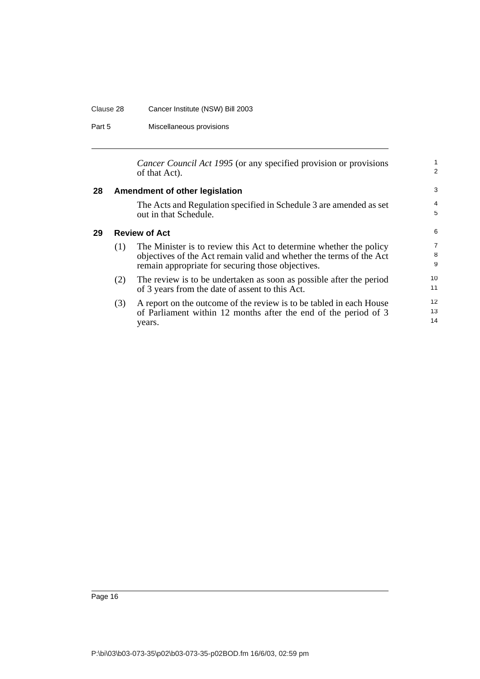## Clause 28 Cancer Institute (NSW) Bill 2003

Part 5 Miscellaneous provisions

<span id="page-21-1"></span><span id="page-21-0"></span>

|    |     | Cancer Council Act 1995 (or any specified provision or provisions<br>of that Act).                                                                                                             | 1<br>2         |
|----|-----|------------------------------------------------------------------------------------------------------------------------------------------------------------------------------------------------|----------------|
| 28 |     | Amendment of other legislation                                                                                                                                                                 | 3              |
|    |     | The Acts and Regulation specified in Schedule 3 are amended as set<br>out in that Schedule.                                                                                                    | 4<br>5         |
| 29 |     | <b>Review of Act</b>                                                                                                                                                                           | 6              |
|    | (1) | The Minister is to review this Act to determine whether the policy<br>objectives of the Act remain valid and whether the terms of the Act<br>remain appropriate for securing those objectives. | 7<br>8<br>9    |
|    | (2) | The review is to be undertaken as soon as possible after the period<br>of 3 years from the date of assent to this Act.                                                                         | 10<br>11       |
|    | (3) | A report on the outcome of the review is to be tabled in each House<br>of Parliament within 12 months after the end of the period of 3<br>years.                                               | 12<br>13<br>14 |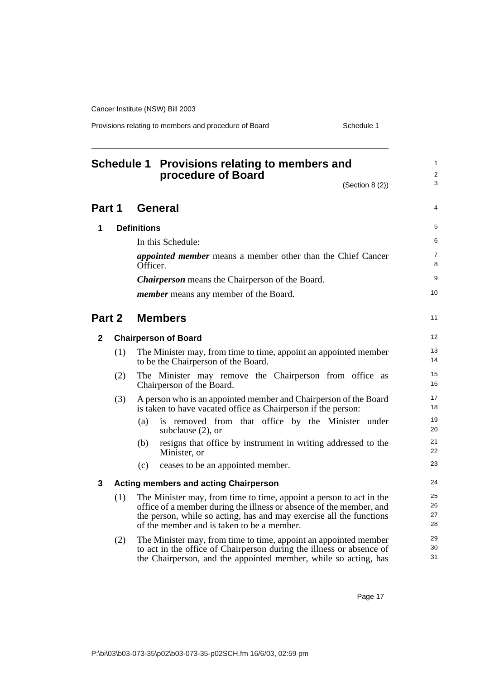Provisions relating to members and procedure of Board Schedule 1

<span id="page-22-0"></span>

|        | Schedule 1 Provisions relating to members and<br>procedure of Board |                    |                                                                                                                                                                                                                                                                 |                              |
|--------|---------------------------------------------------------------------|--------------------|-----------------------------------------------------------------------------------------------------------------------------------------------------------------------------------------------------------------------------------------------------------------|------------------------------|
|        |                                                                     |                    | (Section 8 (2))                                                                                                                                                                                                                                                 | $\overline{\mathbf{c}}$<br>3 |
| Part 1 |                                                                     |                    | <b>General</b>                                                                                                                                                                                                                                                  | 4                            |
| 1      |                                                                     | <b>Definitions</b> |                                                                                                                                                                                                                                                                 | 5                            |
|        |                                                                     |                    | In this Schedule:                                                                                                                                                                                                                                               | 6                            |
|        |                                                                     | Officer.           | <i>appointed member</i> means a member other than the Chief Cancer                                                                                                                                                                                              | $\overline{7}$<br>8          |
|        |                                                                     |                    | <b>Chairperson</b> means the Chairperson of the Board.                                                                                                                                                                                                          | 9                            |
|        |                                                                     |                    | <i>member</i> means any member of the Board.                                                                                                                                                                                                                    | 10                           |
| Part 2 |                                                                     |                    | <b>Members</b>                                                                                                                                                                                                                                                  | 11                           |
| 2      |                                                                     |                    | <b>Chairperson of Board</b>                                                                                                                                                                                                                                     | 12                           |
|        | (1)                                                                 |                    | The Minister may, from time to time, appoint an appointed member<br>to be the Chairperson of the Board.                                                                                                                                                         | 13<br>14                     |
|        | (2)                                                                 |                    | The Minister may remove the Chairperson from office as<br>Chairperson of the Board.                                                                                                                                                                             | 15<br>16                     |
|        | (3)                                                                 |                    | A person who is an appointed member and Chairperson of the Board<br>is taken to have vacated office as Chairperson if the person:                                                                                                                               | 17<br>18                     |
|        |                                                                     | (a)                | is removed from that office by the Minister under<br>subclause $(2)$ , or                                                                                                                                                                                       | 19<br>20                     |
|        |                                                                     | (b)                | resigns that office by instrument in writing addressed to the<br>Minister, or                                                                                                                                                                                   | 21<br>22                     |
|        |                                                                     | (c)                | ceases to be an appointed member.                                                                                                                                                                                                                               | 23                           |
| 3      |                                                                     |                    | <b>Acting members and acting Chairperson</b>                                                                                                                                                                                                                    | 24                           |
|        | (1)                                                                 |                    | The Minister may, from time to time, appoint a person to act in the<br>office of a member during the illness or absence of the member, and<br>the person, while so acting, has and may exercise all the functions<br>of the member and is taken to be a member. | 25<br>26<br>27<br>28         |
|        | (2)                                                                 |                    | The Minister may, from time to time, appoint an appointed member<br>to act in the office of Chairperson during the illness or absence of<br>the Chairperson, and the appointed member, while so acting, has                                                     | 29<br>30<br>31               |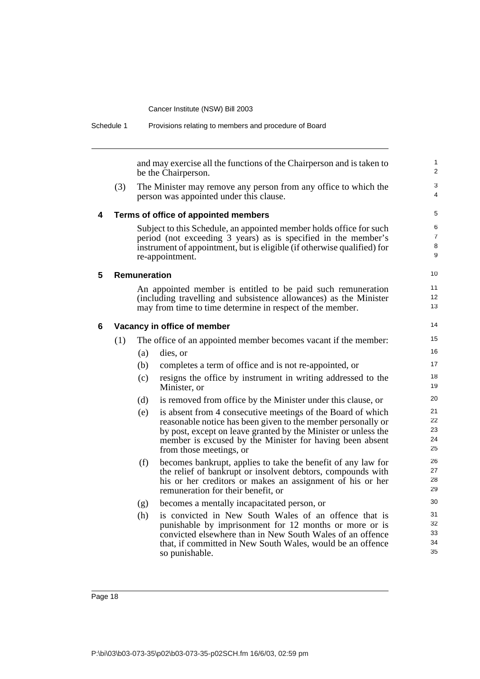| Schedule 1 |     |                     | Provisions relating to members and procedure of Board                                                                                                                                                                                                                                |                               |
|------------|-----|---------------------|--------------------------------------------------------------------------------------------------------------------------------------------------------------------------------------------------------------------------------------------------------------------------------------|-------------------------------|
|            |     |                     | and may exercise all the functions of the Chairperson and is taken to<br>be the Chairperson.                                                                                                                                                                                         |                               |
|            | (3) |                     | The Minister may remove any person from any office to which the<br>person was appointed under this clause.                                                                                                                                                                           | 3<br>4                        |
| 4          |     |                     | Terms of office of appointed members                                                                                                                                                                                                                                                 | 5                             |
|            |     |                     | Subject to this Schedule, an appointed member holds office for such<br>period (not exceeding 3 years) as is specified in the member's<br>instrument of appointment, but is eligible (if otherwise qualified) for<br>re-appointment.                                                  | 6<br>$\overline{7}$<br>8<br>9 |
| 5          |     | <b>Remuneration</b> |                                                                                                                                                                                                                                                                                      | 10                            |
|            |     |                     | An appointed member is entitled to be paid such remuneration                                                                                                                                                                                                                         | 11                            |
|            |     |                     | (including travelling and subsistence allowances) as the Minister<br>may from time to time determine in respect of the member.                                                                                                                                                       | 12 <sup>2</sup><br>13         |
| 6          |     |                     | Vacancy in office of member                                                                                                                                                                                                                                                          | 14                            |
|            | (1) |                     | The office of an appointed member becomes vacant if the member:                                                                                                                                                                                                                      | 15                            |
|            |     | (a)                 | dies, or                                                                                                                                                                                                                                                                             | 16                            |
|            |     | (b)                 | completes a term of office and is not re-appointed, or                                                                                                                                                                                                                               | 17                            |
|            |     | (c)                 | resigns the office by instrument in writing addressed to the<br>Minister, or                                                                                                                                                                                                         | 18<br>19                      |
|            |     | (d)                 | is removed from office by the Minister under this clause, or                                                                                                                                                                                                                         | 20                            |
|            |     | (e)                 | is absent from 4 consecutive meetings of the Board of which<br>reasonable notice has been given to the member personally or<br>by post, except on leave granted by the Minister or unless the<br>member is excused by the Minister for having been absent<br>from those meetings, or | 21<br>22<br>23<br>24<br>25    |
|            |     | (f)                 | becomes bankrupt, applies to take the benefit of any law for<br>the relief of bankrupt or insolvent debtors, compounds with<br>his or her creditors or makes an assignment of his or her<br>remuneration for their benefit, or                                                       | 26<br>27<br>28<br>29          |
|            |     | (g)                 | becomes a mentally incapacitated person, or                                                                                                                                                                                                                                          | 30                            |
|            |     | (h)                 | is convicted in New South Wales of an offence that is<br>punishable by imprisonment for 12 months or more or is<br>convicted elsewhere than in New South Wales of an offence<br>that, if committed in New South Wales, would be an offence<br>so punishable.                         | 31<br>32<br>33<br>34<br>35    |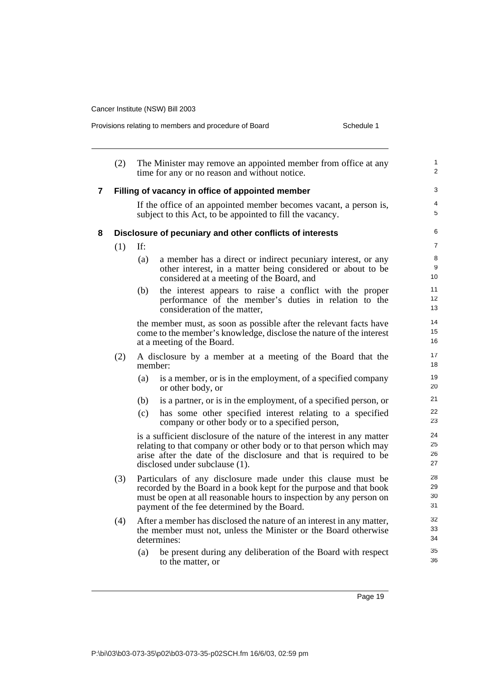|   | Schedule 1<br>Provisions relating to members and procedure of Board |         |                                                                                                                                                                                                                                                          |                              |
|---|---------------------------------------------------------------------|---------|----------------------------------------------------------------------------------------------------------------------------------------------------------------------------------------------------------------------------------------------------------|------------------------------|
|   | (2)                                                                 |         | The Minister may remove an appointed member from office at any<br>time for any or no reason and without notice.                                                                                                                                          |                              |
| 7 |                                                                     |         | Filling of vacancy in office of appointed member                                                                                                                                                                                                         | 3                            |
|   |                                                                     |         | If the office of an appointed member becomes vacant, a person is,<br>subject to this Act, to be appointed to fill the vacancy.                                                                                                                           | 5                            |
| 8 |                                                                     |         | Disclosure of pecuniary and other conflicts of interests                                                                                                                                                                                                 | 6                            |
|   | (1)                                                                 | If:     |                                                                                                                                                                                                                                                          | $\overline{7}$               |
|   |                                                                     | (a)     | a member has a direct or indirect pecuniary interest, or any<br>other interest, in a matter being considered or about to be<br>considered at a meeting of the Board, and                                                                                 | 8<br>9<br>10                 |
|   |                                                                     | (b)     | the interest appears to raise a conflict with the proper<br>performance of the member's duties in relation to the<br>consideration of the matter,                                                                                                        | 11<br>12<br>13               |
|   |                                                                     |         | the member must, as soon as possible after the relevant facts have<br>come to the member's knowledge, disclose the nature of the interest<br>at a meeting of the Board.                                                                                  | 14<br>15 <sup>15</sup><br>16 |
|   | (2)                                                                 | member: | A disclosure by a member at a meeting of the Board that the                                                                                                                                                                                              | 17<br>18                     |
|   |                                                                     | (a)     | is a member, or is in the employment, of a specified company<br>or other body, or                                                                                                                                                                        | 19<br>20                     |
|   |                                                                     | (b)     | is a partner, or is in the employment, of a specified person, or                                                                                                                                                                                         | 21                           |
|   |                                                                     | (c)     | has some other specified interest relating to a specified<br>company or other body or to a specified person,                                                                                                                                             | 22<br>23                     |
|   |                                                                     |         | is a sufficient disclosure of the nature of the interest in any matter<br>relating to that company or other body or to that person which may<br>arise after the date of the disclosure and that is required to be<br>disclosed under subclause (1).      | 24<br>25<br>26<br>27         |
|   | (3)                                                                 |         | Particulars of any disclosure made under this clause must be<br>recorded by the Board in a book kept for the purpose and that book<br>must be open at all reasonable hours to inspection by any person on<br>payment of the fee determined by the Board. | 28<br>29<br>30<br>31         |
|   | (4)                                                                 |         | After a member has disclosed the nature of an interest in any matter,<br>the member must not, unless the Minister or the Board otherwise<br>determines:                                                                                                  | 32<br>33<br>34               |
|   |                                                                     | (a)     | be present during any deliberation of the Board with respect<br>to the matter, or                                                                                                                                                                        | 35<br>36                     |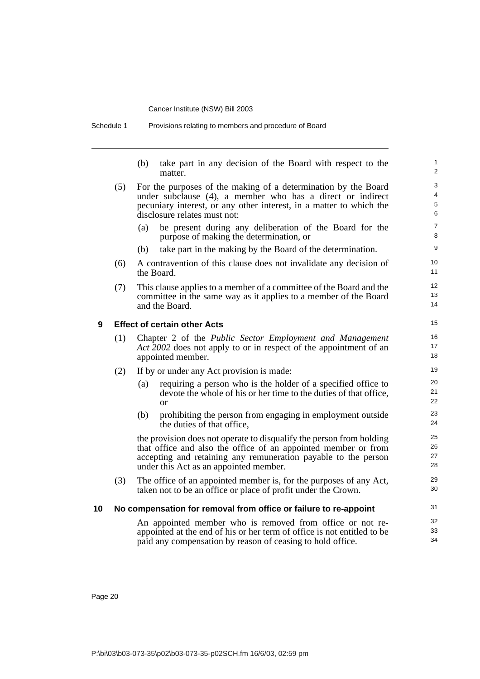Schedule 1 Provisions relating to members and procedure of Board

(b) take part in any decision of the Board with respect to the matter.

- (5) For the purposes of the making of a determination by the Board under subclause (4), a member who has a direct or indirect pecuniary interest, or any other interest, in a matter to which the disclosure relates must not:
	- (a) be present during any deliberation of the Board for the purpose of making the determination, or
	- (b) take part in the making by the Board of the determination.
- (6) A contravention of this clause does not invalidate any decision of the Board.
- (7) This clause applies to a member of a committee of the Board and the committee in the same way as it applies to a member of the Board and the Board.

#### **9 Effect of certain other Acts**

- (1) Chapter 2 of the *Public Sector Employment and Management Act 2002* does not apply to or in respect of the appointment of an appointed member.
- (2) If by or under any Act provision is made:
	- (a) requiring a person who is the holder of a specified office to devote the whole of his or her time to the duties of that office, or
	- (b) prohibiting the person from engaging in employment outside the duties of that office,

the provision does not operate to disqualify the person from holding that office and also the office of an appointed member or from accepting and retaining any remuneration payable to the person under this Act as an appointed member.

(3) The office of an appointed member is, for the purposes of any Act, taken not to be an office or place of profit under the Crown.

#### **10 No compensation for removal from office or failure to re-appoint**

An appointed member who is removed from office or not reappointed at the end of his or her term of office is not entitled to be paid any compensation by reason of ceasing to hold office.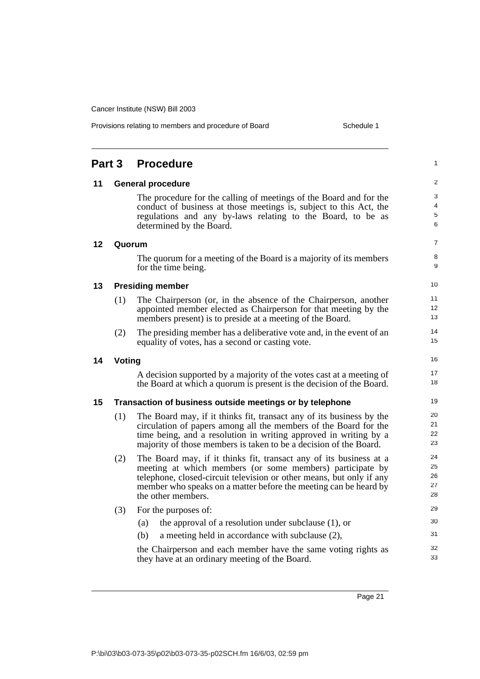|    |                                                          |                                                                                                                                                                                                                                                                                   | $\overline{\mathbf{c}}$ |  |
|----|----------------------------------------------------------|-----------------------------------------------------------------------------------------------------------------------------------------------------------------------------------------------------------------------------------------------------------------------------------|-------------------------|--|
| 11 |                                                          | <b>General procedure</b>                                                                                                                                                                                                                                                          |                         |  |
|    |                                                          | The procedure for the calling of meetings of the Board and for the<br>conduct of business at those meetings is, subject to this Act, the                                                                                                                                          | 3<br>4                  |  |
|    |                                                          | regulations and any by-laws relating to the Board, to be as<br>determined by the Board.                                                                                                                                                                                           | 5<br>6                  |  |
| 12 | Quorum                                                   |                                                                                                                                                                                                                                                                                   | 7                       |  |
|    |                                                          | The quorum for a meeting of the Board is a majority of its members<br>for the time being.                                                                                                                                                                                         | 8<br>9                  |  |
| 13 |                                                          | <b>Presiding member</b>                                                                                                                                                                                                                                                           | 10                      |  |
|    | (1)                                                      | The Chairperson (or, in the absence of the Chairperson, another                                                                                                                                                                                                                   | 11                      |  |
|    |                                                          | appointed member elected as Chairperson for that meeting by the<br>members present) is to preside at a meeting of the Board.                                                                                                                                                      | 12<br>13                |  |
|    | (2)                                                      | The presiding member has a deliberative vote and, in the event of an<br>equality of votes, has a second or casting vote.                                                                                                                                                          | 14<br>15                |  |
| 14 | Voting                                                   |                                                                                                                                                                                                                                                                                   |                         |  |
|    |                                                          | A decision supported by a majority of the votes cast at a meeting of<br>the Board at which a quorum is present is the decision of the Board.                                                                                                                                      | 17<br>18                |  |
| 15 | Transaction of business outside meetings or by telephone |                                                                                                                                                                                                                                                                                   |                         |  |
|    | (1)                                                      | The Board may, if it thinks fit, transact any of its business by the<br>circulation of papers among all the members of the Board for the<br>time being, and a resolution in writing approved in writing by a<br>majority of those members is taken to be a decision of the Board. | 20<br>21<br>22<br>23    |  |
|    | (2)                                                      | The Board may, if it thinks fit, transact any of its business at a                                                                                                                                                                                                                | 24                      |  |
|    |                                                          | meeting at which members (or some members) participate by                                                                                                                                                                                                                         | 25                      |  |
|    |                                                          | telephone, closed-circuit television or other means, but only if any<br>member who speaks on a matter before the meeting can be heard by                                                                                                                                          | 26<br>27                |  |
|    |                                                          | the other members.                                                                                                                                                                                                                                                                | 28                      |  |
|    | (3)                                                      | For the purposes of:                                                                                                                                                                                                                                                              | 29                      |  |
|    |                                                          | the approval of a resolution under subclause $(1)$ , or<br>(a)                                                                                                                                                                                                                    | 30                      |  |
|    |                                                          | a meeting held in accordance with subclause (2),<br>(b)                                                                                                                                                                                                                           | 31                      |  |
|    |                                                          | the Chairperson and each member have the same voting rights as<br>they have at an ordinary meeting of the Board.                                                                                                                                                                  | 32<br>33                |  |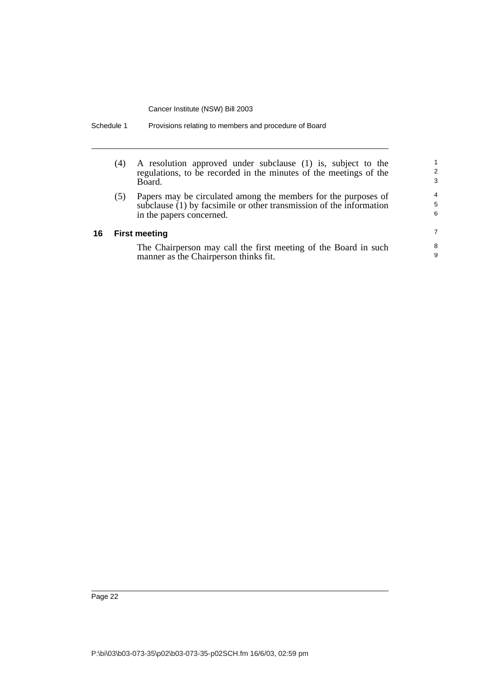| (4)                  | A resolution approved under subclause (1) is, subject to the<br>regulations, to be recorded in the minutes of the meetings of the<br>Board.                       | 2<br>3                   |  |
|----------------------|-------------------------------------------------------------------------------------------------------------------------------------------------------------------|--------------------------|--|
| (5)                  | Papers may be circulated among the members for the purposes of<br>subclause (1) by facsimile or other transmission of the information<br>in the papers concerned. | $\overline{4}$<br>5<br>6 |  |
| <b>First meeting</b> |                                                                                                                                                                   |                          |  |
|                      | The Chairperson may call the first meeting of the Board in such<br>manner as the Chairperson thinks fit.                                                          | 8<br>9                   |  |

Schedule 1 Provisions relating to members and procedure of Board

**16**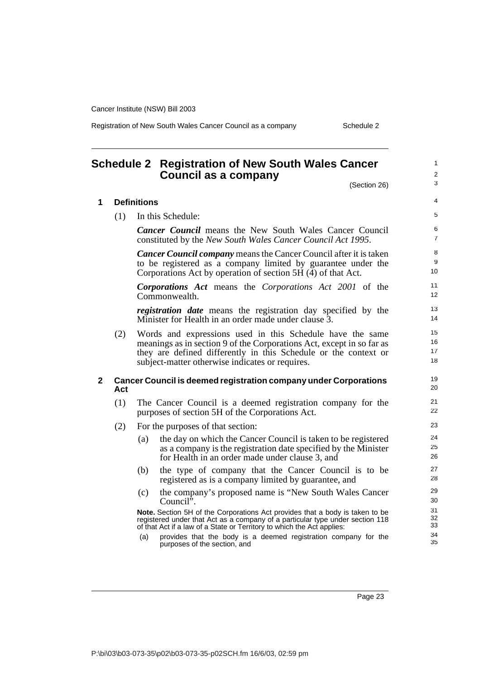Registration of New South Wales Cancer Council as a company Schedule 2

# <span id="page-28-0"></span>**Schedule 2 Registration of New South Wales Cancer Council as a company**

(Section 26)

1 2 3

| 1 | <b>Definitions</b>                                                             |                                                                                                                                                                                                                                                          |                           |  |  |  |
|---|--------------------------------------------------------------------------------|----------------------------------------------------------------------------------------------------------------------------------------------------------------------------------------------------------------------------------------------------------|---------------------------|--|--|--|
|   | (1)                                                                            | In this Schedule:                                                                                                                                                                                                                                        | 5                         |  |  |  |
|   |                                                                                | <b>Cancer Council</b> means the New South Wales Cancer Council<br>constituted by the New South Wales Cancer Council Act 1995.                                                                                                                            | 6<br>$\overline{7}$       |  |  |  |
|   |                                                                                | <b>Cancer Council company</b> means the Cancer Council after it is taken<br>to be registered as a company limited by guarantee under the<br>Corporations Act by operation of section 5H $(\overline{4})$ of that Act.                                    | 8<br>9<br>10 <sup>°</sup> |  |  |  |
|   |                                                                                | <b>Corporations Act</b> means the Corporations Act 2001 of the<br>Commonwealth.                                                                                                                                                                          | 11<br>12 <sup>2</sup>     |  |  |  |
|   |                                                                                | <i>registration date</i> means the registration day specified by the<br>Minister for Health in an order made under clause 3.                                                                                                                             | 13<br>14                  |  |  |  |
|   | (2)                                                                            | Words and expressions used in this Schedule have the same<br>meanings as in section 9 of the Corporations Act, except in so far as<br>they are defined differently in this Schedule or the context or<br>subject-matter otherwise indicates or requires. | 15<br>16<br>17<br>18      |  |  |  |
| 2 | <b>Cancer Council is deemed registration company under Corporations</b><br>Act |                                                                                                                                                                                                                                                          |                           |  |  |  |
|   | (1)                                                                            | The Cancer Council is a deemed registration company for the<br>purposes of section 5H of the Corporations Act.                                                                                                                                           |                           |  |  |  |
|   | (2)                                                                            | For the purposes of that section:                                                                                                                                                                                                                        |                           |  |  |  |
|   |                                                                                | the day on which the Cancer Council is taken to be registered<br>(a)<br>as a company is the registration date specified by the Minister<br>for Health in an order made under clause 3, and                                                               | 24<br>25<br>26            |  |  |  |
|   |                                                                                | the type of company that the Cancer Council is to be<br>(b)<br>registered as is a company limited by guarantee, and                                                                                                                                      | 27<br>28                  |  |  |  |
|   |                                                                                | the company's proposed name is "New South Wales Cancer"<br>(c)<br>Council $\ddot{ }$ .                                                                                                                                                                   | 29<br>30                  |  |  |  |
|   |                                                                                | Note. Section 5H of the Corporations Act provides that a body is taken to be<br>registered under that Act as a company of a particular type under section 118<br>of that Act if a law of a State or Territory to which the Act applies:                  | 31<br>32<br>33            |  |  |  |
|   |                                                                                | provides that the body is a deemed registration company for the<br>(a)<br>purposes of the section, and                                                                                                                                                   | 34<br>35                  |  |  |  |
|   |                                                                                |                                                                                                                                                                                                                                                          |                           |  |  |  |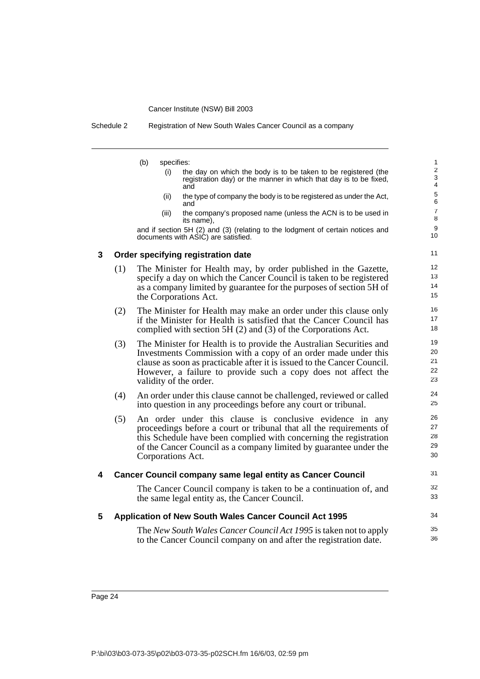Schedule 2 Registration of New South Wales Cancer Council as a company

- (b) specifies:
	- (i) the day on which the body is to be taken to be registered (the registration day) or the manner in which that day is to be fixed, and

31 32 33

34 35 36

- (ii) the type of company the body is to be registered as under the Act, and
- (iii) the company's proposed name (unless the ACN is to be used in its name),

and if section 5H (2) and (3) (relating to the lodgment of certain notices and documents with ASIC) are satisfied.

#### **3 Order specifying registration date**

- (1) The Minister for Health may, by order published in the Gazette, specify a day on which the Cancer Council is taken to be registered as a company limited by guarantee for the purposes of section 5H of the Corporations Act.
- (2) The Minister for Health may make an order under this clause only if the Minister for Health is satisfied that the Cancer Council has complied with section 5H (2) and (3) of the Corporations Act.
- (3) The Minister for Health is to provide the Australian Securities and Investments Commission with a copy of an order made under this clause as soon as practicable after it is issued to the Cancer Council. However, a failure to provide such a copy does not affect the validity of the order.
- (4) An order under this clause cannot be challenged, reviewed or called into question in any proceedings before any court or tribunal.
- (5) An order under this clause is conclusive evidence in any proceedings before a court or tribunal that all the requirements of this Schedule have been complied with concerning the registration of the Cancer Council as a company limited by guarantee under the Corporations Act.

## **4 Cancer Council company same legal entity as Cancer Council**

The Cancer Council company is taken to be a continuation of, and the same legal entity as, the Cancer Council.

#### **5 Application of New South Wales Cancer Council Act 1995**

The *New South Wales Cancer Council Act 1995* is taken not to apply to the Cancer Council company on and after the registration date.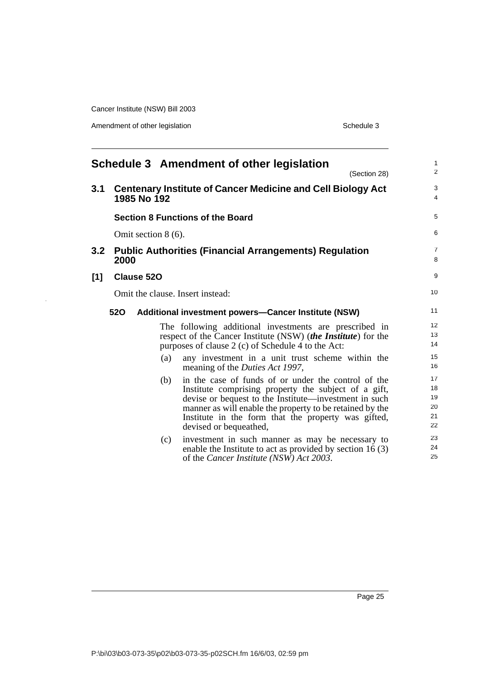Amendment of other legislation Schedule 3

l,

<span id="page-30-0"></span>

|                                  |                                                                                                                                                                               |  |                | Schedule 3 Amendment of other legislation<br>(Section 28)                                                                                                                                                                                                                                                         | $\mathbf{1}$<br>2                |  |
|----------------------------------|-------------------------------------------------------------------------------------------------------------------------------------------------------------------------------|--|----------------|-------------------------------------------------------------------------------------------------------------------------------------------------------------------------------------------------------------------------------------------------------------------------------------------------------------------|----------------------------------|--|
| 3.1                              | <b>Centenary Institute of Cancer Medicine and Cell Biology Act</b><br>1985 No 192                                                                                             |  |                |                                                                                                                                                                                                                                                                                                                   | 3<br>4                           |  |
|                                  |                                                                                                                                                                               |  |                | <b>Section 8 Functions of the Board</b>                                                                                                                                                                                                                                                                           | 5                                |  |
|                                  | Omit section $8(6)$ .                                                                                                                                                         |  |                |                                                                                                                                                                                                                                                                                                                   |                                  |  |
| 3.2                              | 2000                                                                                                                                                                          |  |                | <b>Public Authorities (Financial Arrangements) Regulation</b>                                                                                                                                                                                                                                                     | $\overline{7}$<br>8              |  |
| [1]                              | <b>Clause 520</b>                                                                                                                                                             |  |                |                                                                                                                                                                                                                                                                                                                   |                                  |  |
| Omit the clause. Insert instead: |                                                                                                                                                                               |  |                | 10 <sup>1</sup>                                                                                                                                                                                                                                                                                                   |                                  |  |
|                                  | <b>520</b>                                                                                                                                                                    |  |                | <b>Additional investment powers-Cancer Institute (NSW)</b>                                                                                                                                                                                                                                                        | 11                               |  |
|                                  | The following additional investments are prescribed in<br>respect of the Cancer Institute (NSW) (the Institute) for the<br>purposes of clause 2 (c) of Schedule 4 to the Act: |  | 12<br>13<br>14 |                                                                                                                                                                                                                                                                                                                   |                                  |  |
|                                  |                                                                                                                                                                               |  | (a)            | any investment in a unit trust scheme within the<br>meaning of the <i>Duties Act 1997</i> ,                                                                                                                                                                                                                       | 15<br>16                         |  |
|                                  |                                                                                                                                                                               |  | (b)            | in the case of funds of or under the control of the<br>Institute comprising property the subject of a gift,<br>devise or bequest to the Institute—investment in such<br>manner as will enable the property to be retained by the<br>Institute in the form that the property was gifted,<br>devised or bequeathed, | 17<br>18<br>19<br>20<br>21<br>22 |  |
|                                  |                                                                                                                                                                               |  | (c)            | investment in such manner as may be necessary to<br>enable the Institute to act as provided by section $16(3)$<br>of the <i>Cancer Institute</i> ( <i>NSW</i> ) <i>Act</i> 2003.                                                                                                                                  | 23<br>24<br>25                   |  |
|                                  |                                                                                                                                                                               |  |                |                                                                                                                                                                                                                                                                                                                   |                                  |  |